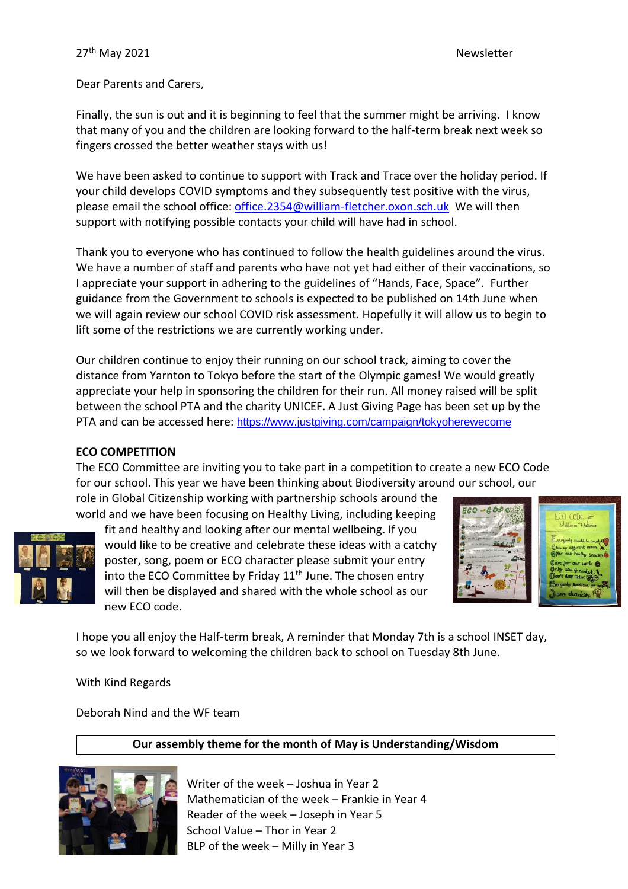Dear Parents and Carers,

Finally, the sun is out and it is beginning to feel that the summer might be arriving. I know that many of you and the children are looking forward to the half-term break next week so fingers crossed the better weather stays with us!

We have been asked to continue to support with Track and Trace over the holiday period. If your child develops COVID symptoms and they subsequently test positive with the virus, please email the school office: [office.2354@william-fletcher.oxon.sch.uk](mailto:office.2354@william-fletcher.oxon.sch.uk) We will then support with notifying possible contacts your child will have had in school.

Thank you to everyone who has continued to follow the health guidelines around the virus. We have a number of staff and parents who have not yet had either of their vaccinations, so I appreciate your support in adhering to the guidelines of "Hands, Face, Space". Further guidance from the Government to schools is expected to be published on 14th June when we will again review our school COVID risk assessment. Hopefully it will allow us to begin to lift some of the restrictions we are currently working under.

Our children continue to enjoy their running on our school track, aiming to cover the distance from Yarnton to Tokyo before the start of the Olympic games! We would greatly appreciate your help in sponsoring the children for their run. All money raised will be split between the school PTA and the charity UNICEF. A Just Giving Page has been set up by the PTA and can be accessed here: <https://www.justgiving.com/campaign/tokyoherewecome>

## **ECO COMPETITION**

The ECO Committee are inviting you to take part in a competition to create a new ECO Code for our school. This year we have been thinking about Biodiversity around our school, our

role in Global Citizenship working with partnership schools around the world and we have been focusing on Healthy Living, including keeping



fit and healthy and looking after our mental wellbeing. If you would like to be creative and celebrate these ideas with a catchy poster, song, poem or ECO character please submit your entry into the ECO Committee by Friday  $11<sup>th</sup>$  June. The chosen entry will then be displayed and shared with the whole school as our new ECO code.



I hope you all enjoy the Half-term break, A reminder that Monday 7th is a school INSET day, so we look forward to welcoming the children back to school on Tuesday 8th June.

With Kind Regards

Deborah Nind and the WF team

# **Our assembly theme for the month of May is Understanding/Wisdom**



Writer of the week – Joshua in Year 2 Mathematician of the week – Frankie in Year 4 Reader of the week – Joseph in Year 5 School Value – Thor in Year 2 BLP of the week – Milly in Year 3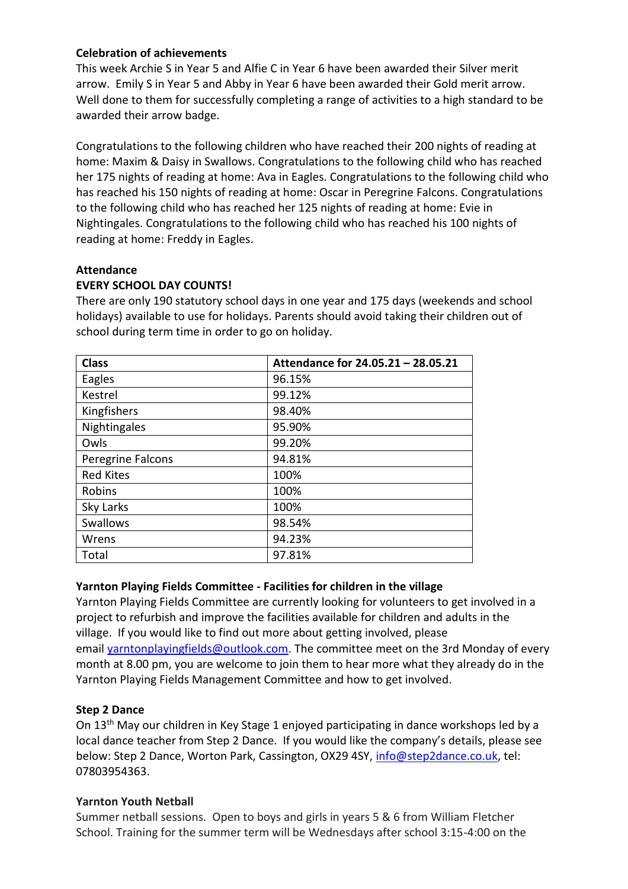# **Celebration of achievements**

This week Archie S in Year 5 and Alfie C in Year 6 have been awarded their Silver merit arrow. Emily S in Year 5 and Abby in Year 6 have been awarded their Gold merit arrow. Well done to them for successfully completing a range of activities to a high standard to be awarded their arrow badge.

Congratulations to the following children who have reached their 200 nights of reading at home: Maxim & Daisy in Swallows. Congratulations to the following child who has reached her 175 nights of reading at home: Ava in Eagles. Congratulations to the following child who has reached his 150 nights of reading at home: Oscar in Peregrine Falcons. Congratulations to the following child who has reached her 125 nights of reading at home: Evie in Nightingales. Congratulations to the following child who has reached his 100 nights of reading at home: Freddy in Eagles.

## **Attendance**

# **EVERY SCHOOL DAY COUNTS!**

There are only 190 statutory school days in one year and 175 days (weekends and school holidays) available to use for holidays. Parents should avoid taking their children out of school during term time in order to go on holiday.

| <b>Class</b>      | Attendance for 24.05.21 - 28.05.21 |
|-------------------|------------------------------------|
| Eagles            | 96.15%                             |
| Kestrel           | 99.12%                             |
| Kingfishers       | 98.40%                             |
| Nightingales      | 95.90%                             |
| Owls              | 99.20%                             |
| Peregrine Falcons | 94.81%                             |
| <b>Red Kites</b>  | 100%                               |
| Robins            | 100%                               |
| Sky Larks         | 100%                               |
| <b>Swallows</b>   | 98.54%                             |
| Wrens             | 94.23%                             |
| Total             | 97.81%                             |

## **Yarnton Playing Fields Committee - Facilities for children in the village**

Yarnton Playing Fields Committee are currently looking for volunteers to get involved in a project to refurbish and improve the facilities available for children and adults in the village. If you would like to find out more about getting involved, please email [yarntonplayingfields@outlook.com.](mailto:yarntonplayingfields@outlook.com) The committee meet on the 3rd Monday of every month at 8.00 pm, you are welcome to join them to hear more what they already do in the Yarnton Playing Fields Management Committee and how to get involved.

## **Step 2 Dance**

On 13th May our children in Key Stage 1 enjoyed participating in dance workshops led by a local dance teacher from Step 2 Dance. If you would like the company's details, please see below: Step 2 Dance, Worton Park, Cassington, OX29 4SY, [info@step2dance.co.uk,](mailto:info@step2dance.co.uk) tel: 07803954363.

## **Yarnton Youth Netball**

Summer netball sessions. Open to boys and girls in years 5 & 6 from William Fletcher School. Training for the summer term will be Wednesdays after school 3:15-4:00 on the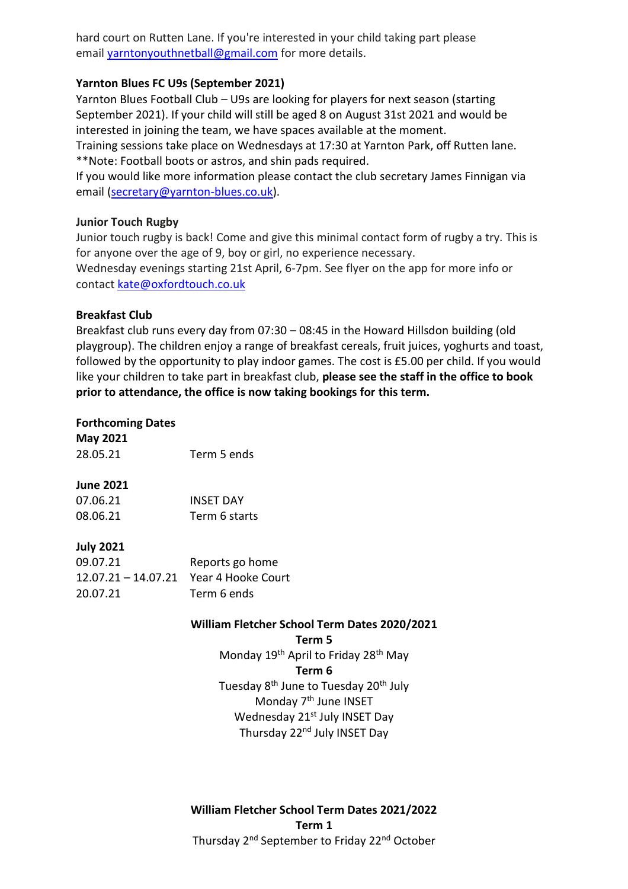hard court on Rutten Lane. If you're interested in your child taking part please email [yarntonyouthnetball@gmail.com](mailto:yarntonyouthnetball@gmail.com) for more details.

## **Yarnton Blues FC U9s (September 2021)**

Yarnton Blues Football Club – U9s are looking for players for next season (starting September 2021). If your child will still be aged 8 on August 31st 2021 and would be interested in joining the team, we have spaces available at the moment.

Training sessions take place on Wednesdays at 17:30 at Yarnton Park, off Rutten lane. \*\*Note: Football boots or astros, and shin pads required.

If you would like more information please contact the club secretary James Finnigan via email [\(secretary@yarnton-blues.co.uk\)](mailto:secretary@yarnton-blues.co.uk).

## **Junior Touch Rugby**

Junior touch rugby is back! Come and give this minimal contact form of rugby a try. This is for anyone over the age of 9, boy or girl, no experience necessary. Wednesday evenings starting 21st April, 6-7pm. See flyer on the app for more info or contact [kate@oxfordtouch.co.uk](mailto:kate@oxfordtouch.co.uk)

## **Breakfast Club**

Breakfast club runs every day from 07:30 – 08:45 in the Howard Hillsdon building (old playgroup). The children enjoy a range of breakfast cereals, fruit juices, yoghurts and toast, followed by the opportunity to play indoor games. The cost is £5.00 per child. If you would like your children to take part in breakfast club, **please see the staff in the office to book prior to attendance, the office is now taking bookings for this term.**

# **Forthcoming Dates**

**May 2021** 28.05.21 Term 5 ends

## **June 2021**

| 07.06.21 | <b>INSET DAY</b> |
|----------|------------------|
| 08.06.21 | Term 6 starts    |

# **July 2021**

| 09.07.21                               | Reports go home |
|----------------------------------------|-----------------|
| 12.07.21 - 14.07.21 Year 4 Hooke Court |                 |
| 20.07.21                               | Term 6 ends     |

## **William Fletcher School Term Dates 2020/2021**

**Term 5** Monday 19<sup>th</sup> April to Friday 28<sup>th</sup> May **Term 6** Tuesday 8<sup>th</sup> June to Tuesday 20<sup>th</sup> July Monday 7<sup>th</sup> June INSET Wednesday 21<sup>st</sup> July INSET Day Thursday 22<sup>nd</sup> July INSET Day

**William Fletcher School Term Dates 2021/2022 Term 1** Thursday 2<sup>nd</sup> September to Friday 22<sup>nd</sup> October